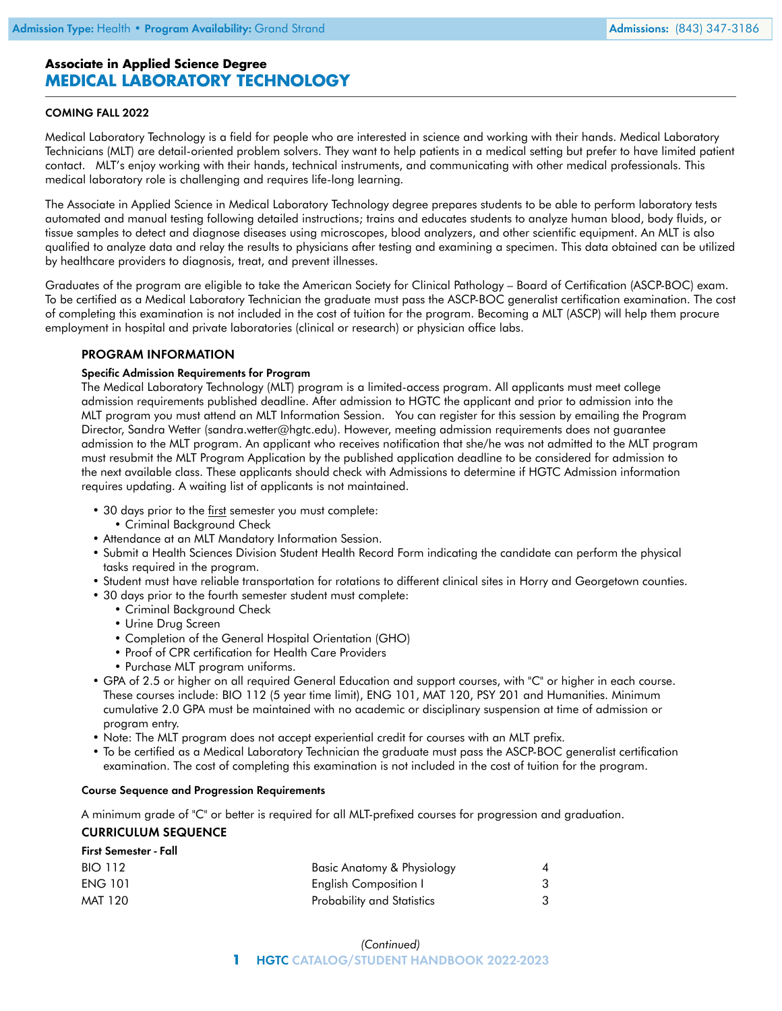# **Associate in Applied Science Degree MEDICAL LABORATORY TECHNOLOGY**

## COMING FALL 2022

Medical Laboratory Technology is a field for people who are interested in science and working with their hands. Medical Laboratory Technicians (MLT) are detail-oriented problem solvers. They want to help patients in a medical setting but prefer to have limited patient contact. MLT's enjoy working with their hands, technical instruments, and communicating with other medical professionals. This medical laboratory role is challenging and requires life-long learning.

The Associate in Applied Science in Medical Laboratory Technology degree prepares students to be able to perform laboratory tests automated and manual testing following detailed instructions; trains and educates students to analyze human blood, body fluids, or tissue samples to detect and diagnose diseases using microscopes, blood analyzers, and other scientific equipment. An MLT is also qualified to analyze data and relay the results to physicians after testing and examining a specimen. This data obtained can be utilized by healthcare providers to diagnosis, treat, and prevent illnesses.

Graduates of the program are eligible to take the American Society for Clinical Pathology – Board of Certification (ASCP-BOC) exam. To be certified as a Medical Laboratory Technician the graduate must pass the ASCP-BOC generalist certification examination. The cost of completing this examination is not included in the cost of tuition for the program. Becoming a MLT (ASCP) will help them procure employment in hospital and private laboratories (clinical or research) or physician office labs.

### PROGRAM INFORMATION

### Specific Admission Requirements for Program

The Medical Laboratory Technology (MLT) program is a limited-access program. All applicants must meet college admission requirements published deadline. After admission to HGTC the applicant and prior to admission into the MLT program you must attend an MLT Information Session. You can register for this session by emailing the Program Director, Sandra Wetter ([sandra.wetter@hgtc.edu](mailto:sandra.wetter@hgtc.edu)). However, meeting admission requirements does not guarantee admission to the MLT program. An applicant who receives notification that she/he was not admitted to the MLT program must resubmit the MLT Program Application by the published application deadline to be considered for admission to the next available class. These applicants should check with Admissions to determine if HGTC Admission information requires updating. A waiting list of applicants is not maintained.

- 30 days prior to the first semester you must complete:
	- Criminal Background Check
- Attendance at an MLT Mandatory Information Session.
- Submit a Health Sciences Division Student Health Record Form indicating the candidate can perform the physical tasks required in the program.
- Student must have reliable transportation for rotations to different clinical sites in Horry and Georgetown counties.
- 30 days prior to the fourth semester student must complete:
	- Criminal Background Check
	- Urine Drug Screen
	- Completion of the General Hospital Orientation (GHO)
	- Proof of CPR certification for Health Care Providers
	- Purchase MLT program uniforms.
- GPA of 2.5 or higher on all required General Education and support courses, with "C" or higher in each course. These courses include: BIO 112 (5 year time limit), ENG 101, MAT 120, PSY 201 and Humanities. Minimum cumulative 2.0 GPA must be maintained with no academic or disciplinary suspension at time of admission or program entry.
- Note: The MLT program does not accept experiential credit for courses with an MLT prefix.
- To be certified as a Medical Laboratory Technician the graduate must pass the ASCP-BOC generalist certification examination. The cost of completing this examination is not included in the cost of tuition for the program.

### Course Sequence and Progression Requirements

A minimum grade of "C" or better is required for all MLT-prefixed courses for progression and graduation.

### CURRICULUM SEQUENCE

First Semester - Fall

| First Semester - Fall             |  |  |
|-----------------------------------|--|--|
| Basic Anatomy & Physiology        |  |  |
| <b>English Composition I</b>      |  |  |
| <b>Probability and Statistics</b> |  |  |
|                                   |  |  |